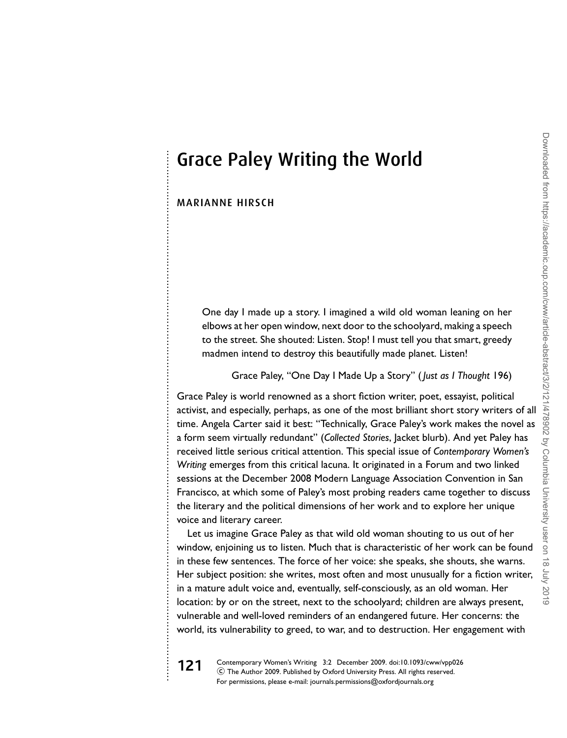# Grace Paley Writing the World

### MARIANNE HIRSCH

. . . . . . . . . . . . . . . . . . . . . . . . . . . . . . . . . . . . . . . . . . . . . . . . . . . . . . . . . . . . . . . . . . . . . . . . . . . . . . . . . . . . . . . . . . . . . . . . . . . . . . . . . . . . . . . . . . . . . . . . . . . . . . . . . . . . . . . . . . . . . . . . . . . . . . . . . . . . . . . . . . . . . . . .

One day I made up a story. I imagined a wild old woman leaning on her elbows at her open window, next door to the schoolyard, making a speech to the street. She shouted: Listen. Stop! I must tell you that smart, greedy madmen intend to destroy this beautifully made planet. Listen!

Grace Paley, "One Day I Made Up a Story" ( *Just as I Thought* 196)

Grace Paley is world renowned as a short fiction writer, poet, essayist, political activist, and especially, perhaps, as one of the most brilliant short story writers of all time. Angela Carter said it best: "Technically, Grace Paley's work makes the novel as a form seem virtually redundant" (*Collected Stories*, Jacket blurb). And yet Paley has received little serious critical attention. This special issue of *Contemporary Women's Writing* emerges from this critical lacuna. It originated in a Forum and two linked sessions at the December 2008 Modern Language Association Convention in San Francisco, at which some of Paley's most probing readers came together to discuss the literary and the political dimensions of her work and to explore her unique voice and literary career.

Let us imagine Grace Paley as that wild old woman shouting to us out of her window, enjoining us to listen. Much that is characteristic of her work can be found in these few sentences. The force of her voice: she speaks, she shouts, she warns. Her subject position: she writes, most often and most unusually for a fiction writer, in a mature adult voice and, eventually, self-consciously, as an old woman. Her location: by or on the street, next to the schoolyard; children are always present, vulnerable and well-loved reminders of an endangered future. Her concerns: the world, its vulnerability to greed, to war, and to destruction. Her engagement with

**121** Contemporary Women's Writing 3:2 December 2009. doi:10.1093/cww/vpp026  $\copyright$  The Author 2009. Published by Oxford University Press. All rights reserved. For permissions, please e-mail: journals.permissions@oxfordjournals.org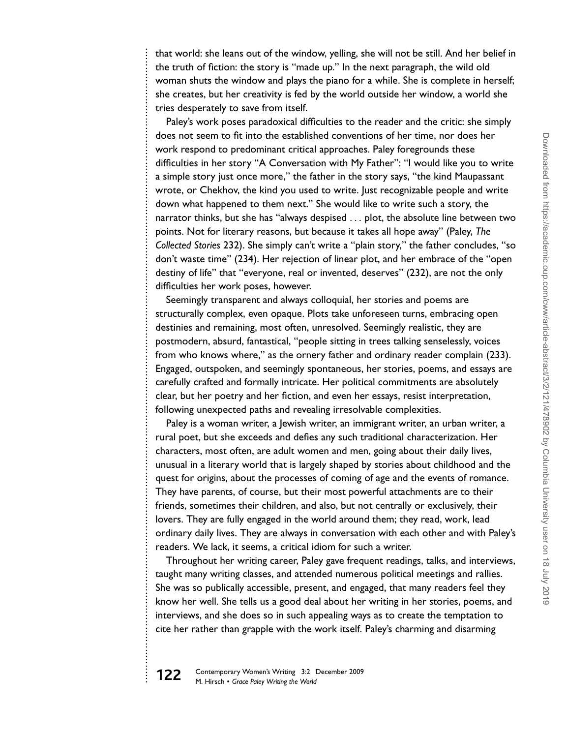that world: she leans out of the window, yelling, she will not be still. And her belief in the truth of fiction: the story is "made up." In the next paragraph, the wild old woman shuts the window and plays the piano for a while. She is complete in herself; she creates, but her creativity is fed by the world outside her window, a world she tries desperately to save from itself.

Paley's work poses paradoxical difficulties to the reader and the critic: she simply does not seem to fit into the established conventions of her time, nor does her work respond to predominant critical approaches. Paley foregrounds these difficulties in her story "A Conversation with My Father": "I would like you to write a simple story just once more," the father in the story says, "the kind Maupassant wrote, or Chekhov, the kind you used to write. Just recognizable people and write down what happened to them next." She would like to write such a story, the narrator thinks, but she has "always despised ... plot, the absolute line between two points. Not for literary reasons, but because it takes all hope away" (Paley, *The Collected Stories* 232). She simply can't write a "plain story," the father concludes, "so don't waste time" (234). Her rejection of linear plot, and her embrace of the "open destiny of life" that "everyone, real or invented, deserves" (232), are not the only difficulties her work poses, however.

Seemingly transparent and always colloquial, her stories and poems are structurally complex, even opaque. Plots take unforeseen turns, embracing open destinies and remaining, most often, unresolved. Seemingly realistic, they are postmodern, absurd, fantastical, "people sitting in trees talking senselessly, voices from who knows where," as the ornery father and ordinary reader complain (233). Engaged, outspoken, and seemingly spontaneous, her stories, poems, and essays are carefully crafted and formally intricate. Her political commitments are absolutely clear, but her poetry and her fiction, and even her essays, resist interpretation, following unexpected paths and revealing irresolvable complexities.

Paley is a woman writer, a Jewish writer, an immigrant writer, an urban writer, a rural poet, but she exceeds and defies any such traditional characterization. Her characters, most often, are adult women and men, going about their daily lives, unusual in a literary world that is largely shaped by stories about childhood and the quest for origins, about the processes of coming of age and the events of romance. They have parents, of course, but their most powerful attachments are to their friends, sometimes their children, and also, but not centrally or exclusively, their lovers. They are fully engaged in the world around them; they read, work, lead ordinary daily lives. They are always in conversation with each other and with Paley's readers. We lack, it seems, a critical idiom for such a writer.

Throughout her writing career, Paley gave frequent readings, talks, and interviews, taught many writing classes, and attended numerous political meetings and rallies. She was so publically accessible, present, and engaged, that many readers feel they know her well. She tells us a good deal about her writing in her stories, poems, and interviews, and she does so in such appealing ways as to create the temptation to cite her rather than grapple with the work itself. Paley's charming and disarming

. . . . . . . . . . . . . . . . . . . . . . . . . . . . . . . . . . . . . . . . . . . . . . . . . . . . . . . . . . . . . . . . . . . . . . . . . . . . . . . . . . . . . . . . . . . . . . . . . . . . . . . . . . . . . . . . . . . . . . . . . . . . . . . . . . . . . . . . . . . . . . . . . . . . . . . . . . . . . . . . . . . . . . . . . . . . . . . . . . . . . . . . . . . . . . . . . . . . . . . . .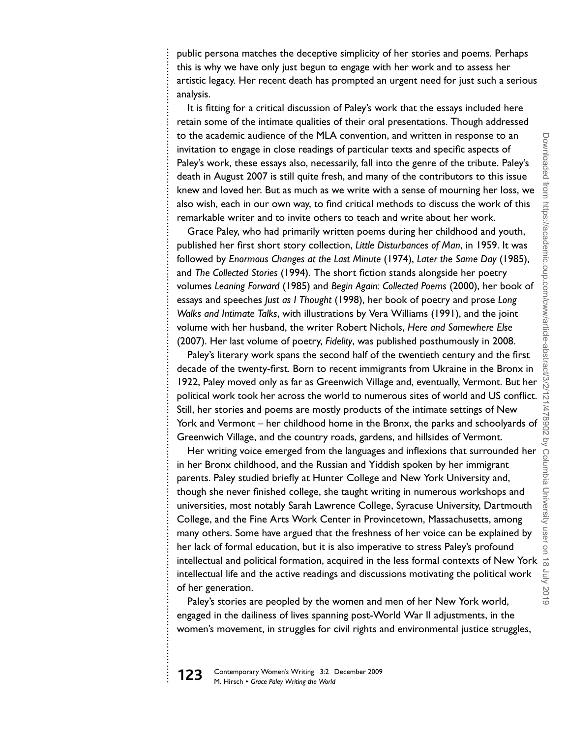. . . . . . . . . . . . . . . . . . . . . . . . . . . . . . . . . . . . . . . . . . . . . . . . . . . . . . . . . . . . . . . . . . . . . . . . . . . . . . . . . . . . . . . . . . . . . . . . . . . . . . . . . . . . . . . . . . . . . . . . . . . . . . . . . . . . . . . . . . . . . . . . . . . . . . . . . . . . . . . . . . . . . . . . . . . . . . . . . . . . . . . . . . . . . . . . . . . . . . . . .

It is fitting for a critical discussion of Paley's work that the essays included here retain some of the intimate qualities of their oral presentations. Though addressed to the academic audience of the MLA convention, and written in response to an invitation to engage in close readings of particular texts and specific aspects of Paley's work, these essays also, necessarily, fall into the genre of the tribute. Paley's death in August 2007 is still quite fresh, and many of the contributors to this issue knew and loved her. But as much as we write with a sense of mourning her loss, we also wish, each in our own way, to find critical methods to discuss the work of this remarkable writer and to invite others to teach and write about her work.

Grace Paley, who had primarily written poems during her childhood and youth, published her first short story collection, *Little Disturbances of Man*, in 1959. It was followed by *Enormous Changes at the Last Minute* (1974), *Later the Same Day* (1985), and *The Collected Stories* (1994). The short fiction stands alongside her poetry volumes *Leaning Forward* (1985) and *Begin Again: Collected Poems* (2000), her book of essays and speeches *Just as I Thought* (1998), her book of poetry and prose *Long Walks and Intimate Talks*, with illustrations by Vera Williams (1991), and the joint volume with her husband, the writer Robert Nichols, *Here and Somewhere Else* (2007). Her last volume of poetry, *Fidelity*, was published posthumously in 2008.

Paley's literary work spans the second half of the twentieth century and the first decade of the twenty-first. Born to recent immigrants from Ukraine in the Bronx in 1922, Paley moved only as far as Greenwich Village and, eventually, Vermont. But her political work took her across the world to numerous sites of world and US conflict. Still, her stories and poems are mostly products of the intimate settings of New York and Vermont – her childhood home in the Bronx, the parks and schoolyards of Greenwich Village, and the country roads, gardens, and hillsides of Vermont.

Her writing voice emerged from the languages and inflexions that surrounded her in her Bronx childhood, and the Russian and Yiddish spoken by her immigrant parents. Paley studied briefly at Hunter College and New York University and, though she never finished college, she taught writing in numerous workshops and universities, most notably Sarah Lawrence College, Syracuse University, Dartmouth College, and the Fine Arts Work Center in Provincetown, Massachusetts, among many others. Some have argued that the freshness of her voice can be explained by her lack of formal education, but it is also imperative to stress Paley's profound intellectual and political formation, acquired in the less formal contexts of New York intellectual life and the active readings and discussions motivating the political work of her generation.

Paley's stories are peopled by the women and men of her New York world, engaged in the dailiness of lives spanning post-World War II adjustments, in the women's movement, in struggles for civil rights and environmental justice struggles,

**123** Contemporary Women's Writing 3:2 December 2009 M. Hirsch - *Grace Paley Writing the World*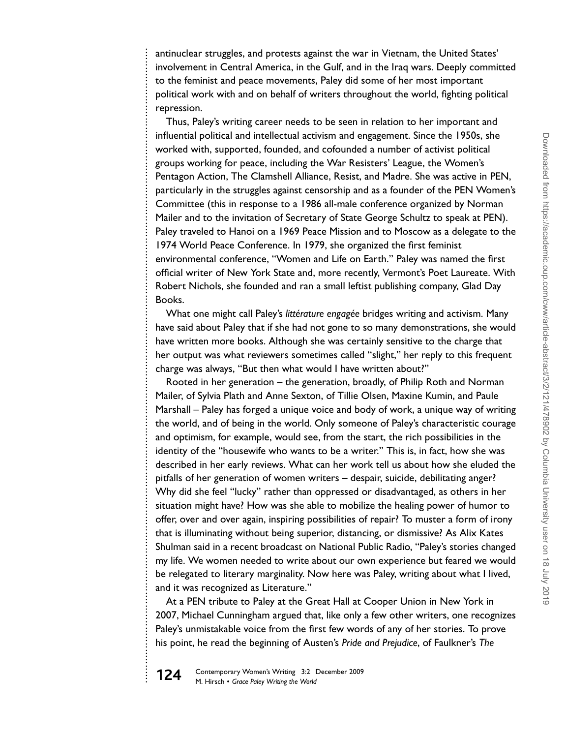antinuclear struggles, and protests against the war in Vietnam, the United States' involvement in Central America, in the Gulf, and in the Iraq wars. Deeply committed to the feminist and peace movements, Paley did some of her most important political work with and on behalf of writers throughout the world, fighting political repression.

Thus, Paley's writing career needs to be seen in relation to her important and influential political and intellectual activism and engagement. Since the 1950s, she worked with, supported, founded, and cofounded a number of activist political groups working for peace, including the War Resisters' League, the Women's Pentagon Action, The Clamshell Alliance, Resist, and Madre. She was active in PEN, particularly in the struggles against censorship and as a founder of the PEN Women's Committee (this in response to a 1986 all-male conference organized by Norman Mailer and to the invitation of Secretary of State George Schultz to speak at PEN). Paley traveled to Hanoi on a 1969 Peace Mission and to Moscow as a delegate to the 1974 World Peace Conference. In 1979, she organized the first feminist environmental conference, "Women and Life on Earth." Paley was named the first official writer of New York State and, more recently, Vermont's Poet Laureate. With Robert Nichols, she founded and ran a small leftist publishing company, Glad Day Books.

What one might call Paley's *littérature engagée* bridges writing and activism. Many have said about Paley that if she had not gone to so many demonstrations, she would have written more books. Although she was certainly sensitive to the charge that her output was what reviewers sometimes called "slight," her reply to this frequent charge was always, "But then what would I have written about?"

Rooted in her generation – the generation, broadly, of Philip Roth and Norman Mailer, of Sylvia Plath and Anne Sexton, of Tillie Olsen, Maxine Kumin, and Paule Marshall – Paley has forged a unique voice and body of work, a unique way of writing the world, and of being in the world. Only someone of Paley's characteristic courage and optimism, for example, would see, from the start, the rich possibilities in the identity of the "housewife who wants to be a writer." This is, in fact, how she was described in her early reviews. What can her work tell us about how she eluded the pitfalls of her generation of women writers – despair, suicide, debilitating anger? Why did she feel "lucky" rather than oppressed or disadvantaged, as others in her situation might have? How was she able to mobilize the healing power of humor to offer, over and over again, inspiring possibilities of repair? To muster a form of irony that is illuminating without being superior, distancing, or dismissive? As Alix Kates Shulman said in a recent broadcast on National Public Radio, "Paley's stories changed my life. We women needed to write about our own experience but feared we would be relegated to literary marginality. Now here was Paley, writing about what I lived, and it was recognized as Literature."

At a PEN tribute to Paley at the Great Hall at Cooper Union in New York in 2007, Michael Cunningham argued that, like only a few other writers, one recognizes Paley's unmistakable voice from the first few words of any of her stories. To prove his point, he read the beginning of Austen's *Pride and Prejudice*, of Faulkner's *The*



. . . . . . . . . . . . . . . . . . . . . . . . . . . . . . . . . . . . . . . . . . . . . . . . . . . . . . . . . . . . . . . . . . . . . . . . . . . . . . . . . . . . . . . . . . . . . . . . . . . . . . . . . . . . . . . . . . . . . . . . . . . . . . . . . . . . . . . . . . . . . . . . . . . . . . . . . . . . . . . . . . . . . . . . . . . . . . . . . . . . . . . . . . . . . . . . . . . . . . . . .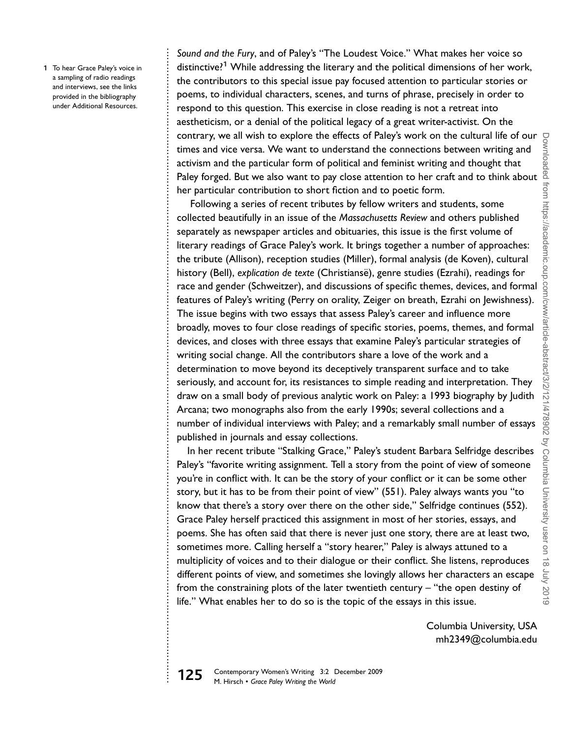a sampling of radio readings and interviews, see the links provided in the bibliography under Additional Resources. . . . . . . . . . . . . . . . . . . . . . . . . . . . . . . . . . . . . . . . . . . . . . . . . . . . . . . . . . . . . . . . . . . . . . . . . . . . . . . . . . . . . . . . . . . . . . . . . . . . . . . . . . . . . . . . . . . . . . . . . . . . . . . . . . . . . . . . . . . . . . . . . . . . . . . . . . . . . . . . . . . . . . . . . . . . . . . . . . . . . . . . . . . . . . . . . . . . . . . . . .

*Sound and the Fury*, and of Paley's "The Loudest Voice." What makes her voice so 1 To hear Grace Paley's voice in **1** distinctive?<sup>1</sup> While addressing the literary and the political dimensions of her work, the contributors to this special issue pay focused attention to particular stories or poems, to individual characters, scenes, and turns of phrase, precisely in order to respond to this question. This exercise in close reading is not a retreat into aestheticism, or a denial of the political legacy of a great writer-activist. On the contrary, we all wish to explore the effects of Paley's work on the cultural life of our times and vice versa. We want to understand the connections between writing and activism and the particular form of political and feminist writing and thought that Paley forged. But we also want to pay close attention to her craft and to think about her particular contribution to short fiction and to poetic form.

> Following a series of recent tributes by fellow writers and students, some collected beautifully in an issue of the *Massachusetts Review* and others published separately as newspaper articles and obituaries, this issue is the first volume of literary readings of Grace Paley's work. It brings together a number of approaches: the tribute (Allison), reception studies (Miller), formal analysis (de Koven), cultural history (Bell), *explication de texte* (Christianse), genre studies (Ezrahi), readings for ¨ race and gender (Schweitzer), and discussions of specific themes, devices, and formal features of Paley's writing (Perry on orality, Zeiger on breath, Ezrahi on Jewishness). The issue begins with two essays that assess Paley's career and influence more broadly, moves to four close readings of specific stories, poems, themes, and formal devices, and closes with three essays that examine Paley's particular strategies of writing social change. All the contributors share a love of the work and a determination to move beyond its deceptively transparent surface and to take seriously, and account for, its resistances to simple reading and interpretation. They draw on a small body of previous analytic work on Paley: a 1993 biography by Judith Arcana; two monographs also from the early 1990s; several collections and a number of individual interviews with Paley; and a remarkably small number of essays published in journals and essay collections.

> In her recent tribute "Stalking Grace," Paley's student Barbara Selfridge describes Paley's "favorite writing assignment. Tell a story from the point of view of someone you're in conflict with. It can be the story of your conflict or it can be some other story, but it has to be from their point of view" (551). Paley always wants you "to know that there's a story over there on the other side," Selfridge continues (552). Grace Paley herself practiced this assignment in most of her stories, essays, and poems. She has often said that there is never just one story, there are at least two, sometimes more. Calling herself a "story hearer," Paley is always attuned to a multiplicity of voices and to their dialogue or their conflict. She listens, reproduces different points of view, and sometimes she lovingly allows her characters an escape from the constraining plots of the later twentieth century – "the open destiny of life." What enables her to do so is the topic of the essays in this issue.

> > Columbia University, USA mh2349@columbia.edu